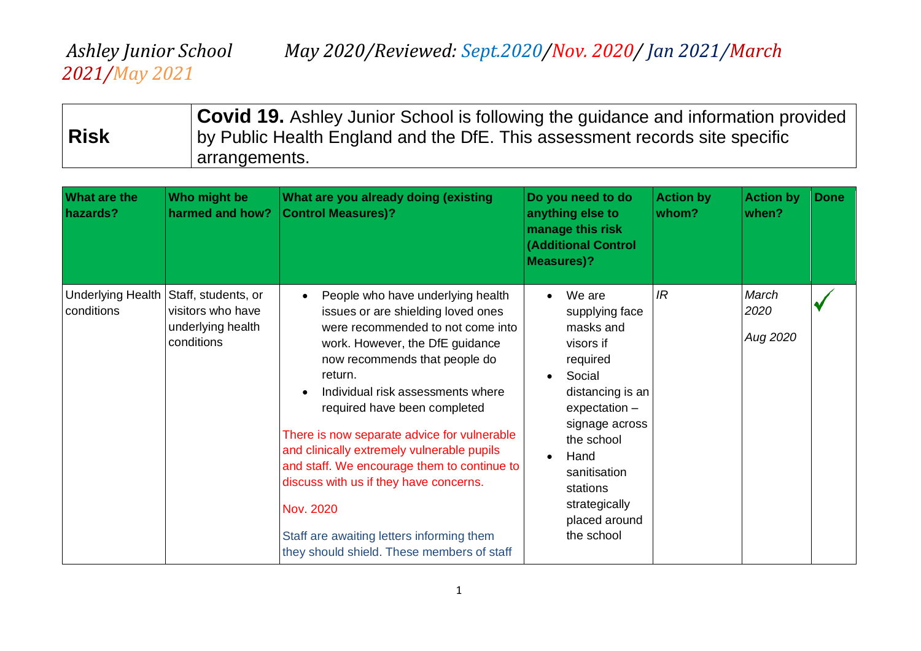# *2021/May 2021*

| <b>Risk</b> | <b>Covid 19.</b> Ashley Junior School is following the guidance and information provided<br>by Public Health England and the DfE. This assessment records site specific |
|-------------|-------------------------------------------------------------------------------------------------------------------------------------------------------------------------|
|             | arrangements.                                                                                                                                                           |

| <b>What are the</b><br>hazards?        | Who might be<br>harmed and how?                                             | What are you already doing (existing<br><b>Control Measures)?</b>                                                                                                                                                                                                                                                                                                                                                                                                                                                                                              | Do you need to do<br>anything else to<br>manage this risk<br><b>(Additional Control</b><br><b>Measures)?</b>                                                                                                                        | <b>Action by</b><br>whom? | <b>Action by</b><br>when? | <b>Done</b> |
|----------------------------------------|-----------------------------------------------------------------------------|----------------------------------------------------------------------------------------------------------------------------------------------------------------------------------------------------------------------------------------------------------------------------------------------------------------------------------------------------------------------------------------------------------------------------------------------------------------------------------------------------------------------------------------------------------------|-------------------------------------------------------------------------------------------------------------------------------------------------------------------------------------------------------------------------------------|---------------------------|---------------------------|-------------|
| <b>Underlying Health</b><br>conditions | Staff, students, or<br>visitors who have<br>underlying health<br>conditions | People who have underlying health<br>issues or are shielding loved ones<br>were recommended to not come into<br>work. However, the DfE guidance<br>now recommends that people do<br>return.<br>Individual risk assessments where<br>required have been completed<br>There is now separate advice for vulnerable<br>and clinically extremely vulnerable pupils<br>and staff. We encourage them to continue to<br>discuss with us if they have concerns.<br>Nov. 2020<br>Staff are awaiting letters informing them<br>they should shield. These members of staff | We are<br>supplying face<br>masks and<br>visors if<br>required<br>Social<br>distancing is an<br>$expectation -$<br>signage across<br>the school<br>Hand<br>sanitisation<br>stations<br>strategically<br>placed around<br>the school | IR                        | March<br>2020<br>Aug 2020 |             |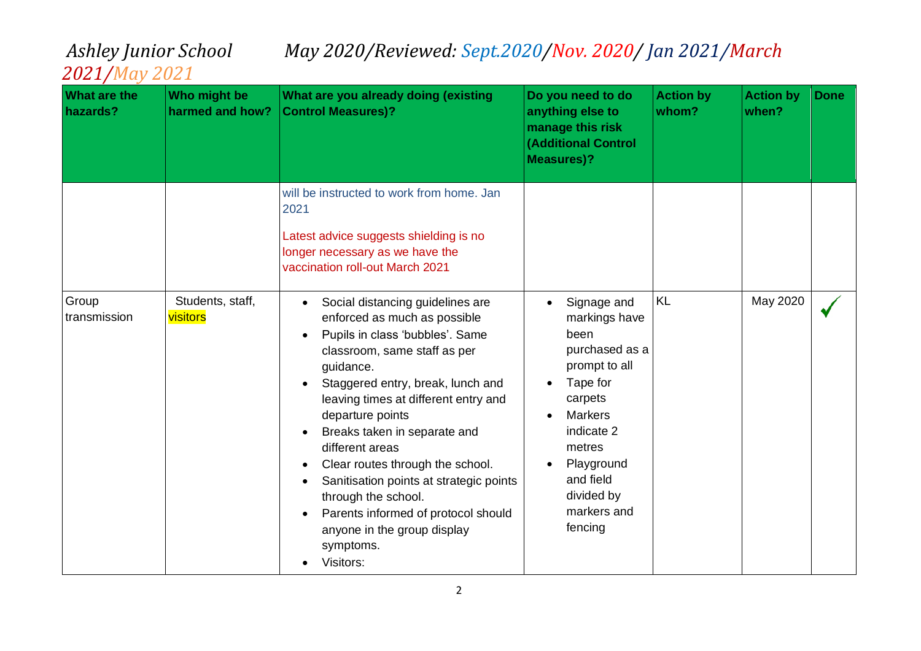| <b>What are the</b><br>hazards? | Who might be<br>harmed and how? | What are you already doing (existing<br><b>Control Measures)?</b>                                                                                                                                                                                                                                                                                                                                                                                                                                          | Do you need to do<br>anything else to<br>manage this risk<br><b>(Additional Control</b><br><b>Measures)?</b>                                                                                                | <b>Action by</b><br>whom? | <b>Action by</b><br>when? | <b>Done</b> |
|---------------------------------|---------------------------------|------------------------------------------------------------------------------------------------------------------------------------------------------------------------------------------------------------------------------------------------------------------------------------------------------------------------------------------------------------------------------------------------------------------------------------------------------------------------------------------------------------|-------------------------------------------------------------------------------------------------------------------------------------------------------------------------------------------------------------|---------------------------|---------------------------|-------------|
|                                 |                                 | will be instructed to work from home. Jan<br>2021<br>Latest advice suggests shielding is no<br>longer necessary as we have the<br>vaccination roll-out March 2021                                                                                                                                                                                                                                                                                                                                          |                                                                                                                                                                                                             |                           |                           |             |
| Group<br>transmission           | Students, staff,<br>visitors    | Social distancing guidelines are<br>enforced as much as possible<br>Pupils in class 'bubbles'. Same<br>classroom, same staff as per<br>guidance.<br>Staggered entry, break, lunch and<br>leaving times at different entry and<br>departure points<br>Breaks taken in separate and<br>different areas<br>Clear routes through the school.<br>Sanitisation points at strategic points<br>through the school.<br>Parents informed of protocol should<br>anyone in the group display<br>symptoms.<br>Visitors: | Signage and<br>markings have<br>been<br>purchased as a<br>prompt to all<br>Tape for<br>carpets<br><b>Markers</b><br>indicate 2<br>metres<br>Playground<br>and field<br>divided by<br>markers and<br>fencing | <b>KL</b>                 | May 2020                  |             |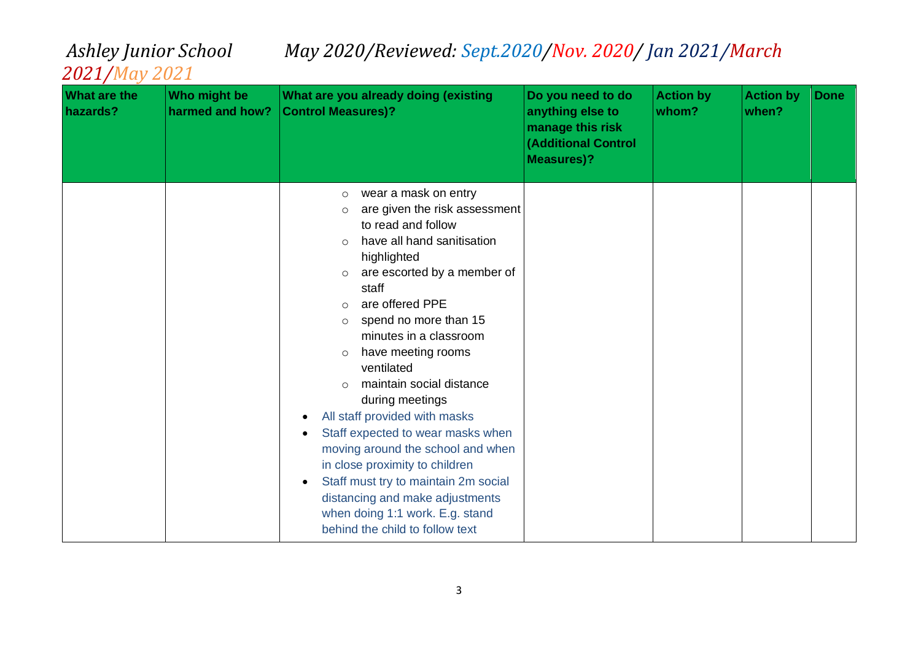| <b>What are the</b><br>hazards? | Who might be<br>harmed and how? | What are you already doing (existing<br><b>Control Measures)?</b>                                                                                                                                                                                                                                                                                                                                                                                                                                                                                                                                                                                                                                                                     | Do you need to do<br>anything else to<br>manage this risk<br><b>(Additional Control</b><br><b>Measures)?</b> | <b>Action by</b><br>whom? | <b>Action by</b><br>when? | <b>Done</b> |
|---------------------------------|---------------------------------|---------------------------------------------------------------------------------------------------------------------------------------------------------------------------------------------------------------------------------------------------------------------------------------------------------------------------------------------------------------------------------------------------------------------------------------------------------------------------------------------------------------------------------------------------------------------------------------------------------------------------------------------------------------------------------------------------------------------------------------|--------------------------------------------------------------------------------------------------------------|---------------------------|---------------------------|-------------|
|                                 |                                 | wear a mask on entry<br>$\circ$<br>are given the risk assessment<br>O<br>to read and follow<br>have all hand sanitisation<br>$\Omega$<br>highlighted<br>are escorted by a member of<br>$\circ$<br>staff<br>are offered PPE<br>$\Omega$<br>spend no more than 15<br>$\circ$<br>minutes in a classroom<br>have meeting rooms<br>$\circ$<br>ventilated<br>maintain social distance<br>$\circ$<br>during meetings<br>All staff provided with masks<br>$\bullet$<br>Staff expected to wear masks when<br>moving around the school and when<br>in close proximity to children<br>Staff must try to maintain 2m social<br>$\bullet$<br>distancing and make adjustments<br>when doing 1:1 work. E.g. stand<br>behind the child to follow text |                                                                                                              |                           |                           |             |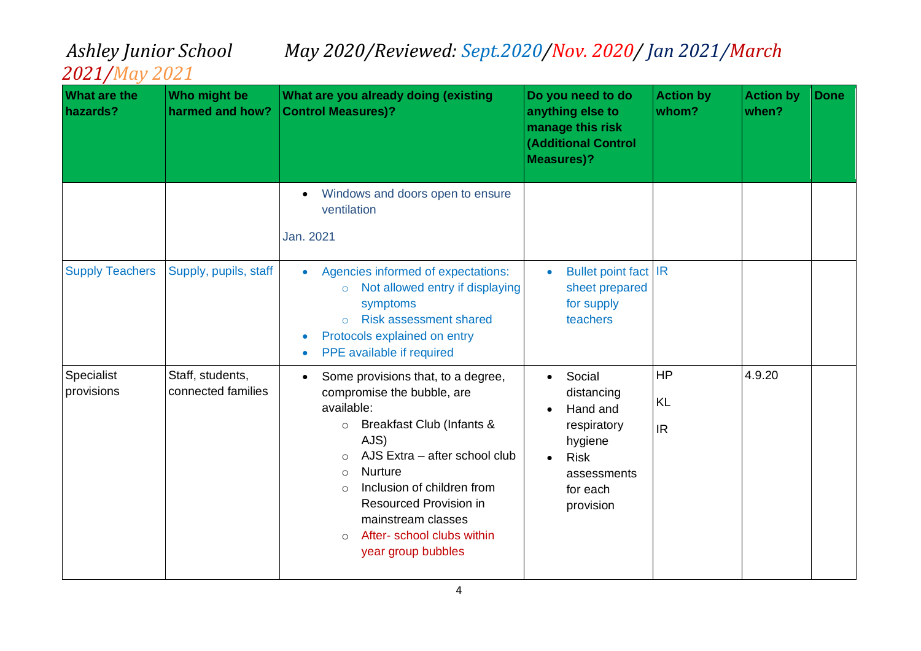| <b>What are the</b><br>hazards? | Who might be<br>harmed and how?        | What are you already doing (existing<br><b>Control Measures)?</b>                                                                                                                                                                                                                                                                                                | Do you need to do<br>anything else to<br>manage this risk<br><b>(Additional Control</b><br><b>Measures)?</b>      | <b>Action by</b><br>whom?           | <b>Action by</b><br>when? | <b>Done</b> |
|---------------------------------|----------------------------------------|------------------------------------------------------------------------------------------------------------------------------------------------------------------------------------------------------------------------------------------------------------------------------------------------------------------------------------------------------------------|-------------------------------------------------------------------------------------------------------------------|-------------------------------------|---------------------------|-------------|
|                                 |                                        | Windows and doors open to ensure<br>ventilation<br>Jan. 2021                                                                                                                                                                                                                                                                                                     |                                                                                                                   |                                     |                           |             |
| <b>Supply Teachers</b>          | Supply, pupils, staff                  | Agencies informed of expectations:<br>$\bullet$<br>Not allowed entry if displaying<br>$\circ$<br>symptoms<br><b>Risk assessment shared</b><br>$\Omega$<br>Protocols explained on entry<br>PPE available if required                                                                                                                                              | <b>Bullet point fact IR</b><br>sheet prepared<br>for supply<br>teachers                                           |                                     |                           |             |
| Specialist<br>provisions        | Staff, students,<br>connected families | Some provisions that, to a degree,<br>compromise the bubble, are<br>available:<br>Breakfast Club (Infants &<br>$\circ$<br>AJS)<br>AJS Extra - after school club<br>$\circ$<br><b>Nurture</b><br>$\circ$<br>Inclusion of children from<br>$\Omega$<br>Resourced Provision in<br>mainstream classes<br>After- school clubs within<br>$\circ$<br>year group bubbles | Social<br>distancing<br>Hand and<br>respiratory<br>hygiene<br><b>Risk</b><br>assessments<br>for each<br>provision | <b>HP</b><br><b>KL</b><br><b>IR</b> | 4.9.20                    |             |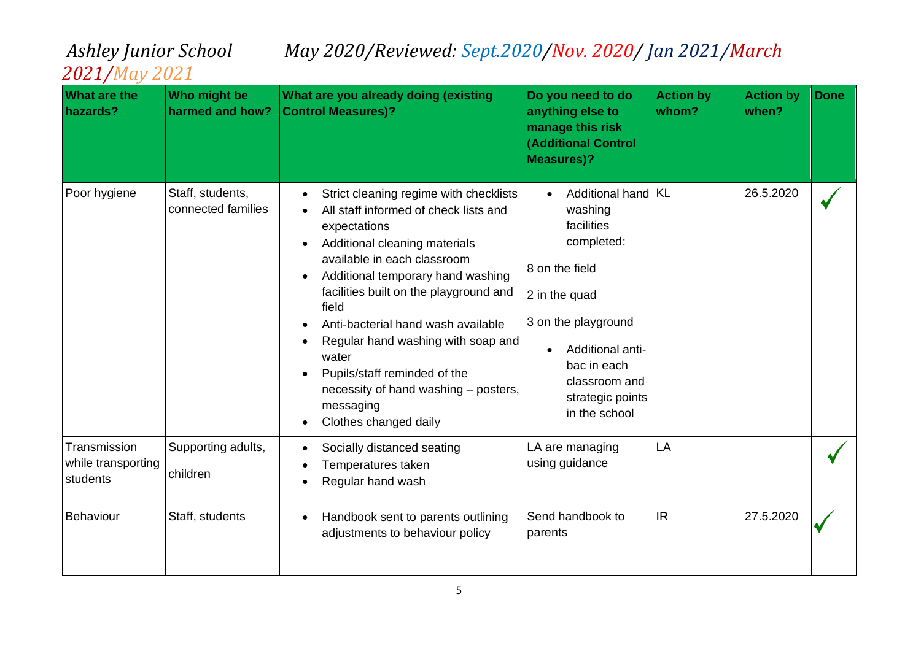| <b>What are the</b><br>hazards?                | Who might be<br>harmed and how?        | What are you already doing (existing<br><b>Control Measures)?</b>                                                                                                                                                                                                                                                                                                                                                                                                       | Do you need to do<br>anything else to<br>manage this risk<br><b>(Additional Control</b><br><b>Measures)?</b>                                                                                                   | <b>Action by</b><br>whom? | <b>Action by</b><br>when? | <b>Done</b> |
|------------------------------------------------|----------------------------------------|-------------------------------------------------------------------------------------------------------------------------------------------------------------------------------------------------------------------------------------------------------------------------------------------------------------------------------------------------------------------------------------------------------------------------------------------------------------------------|----------------------------------------------------------------------------------------------------------------------------------------------------------------------------------------------------------------|---------------------------|---------------------------|-------------|
| Poor hygiene                                   | Staff, students,<br>connected families | Strict cleaning regime with checklists<br>$\bullet$<br>All staff informed of check lists and<br>expectations<br>Additional cleaning materials<br>available in each classroom<br>Additional temporary hand washing<br>facilities built on the playground and<br>field<br>Anti-bacterial hand wash available<br>Regular hand washing with soap and<br>water<br>Pupils/staff reminded of the<br>necessity of hand washing - posters,<br>messaging<br>Clothes changed daily | Additional hand   KL<br>washing<br>facilities<br>completed:<br>8 on the field<br>2 in the quad<br>3 on the playground<br>Additional anti-<br>bac in each<br>classroom and<br>strategic points<br>in the school |                           | 26.5.2020                 |             |
| Transmission<br>while transporting<br>students | Supporting adults,<br>children         | Socially distanced seating<br>Temperatures taken<br>Regular hand wash                                                                                                                                                                                                                                                                                                                                                                                                   | LA are managing<br>using guidance                                                                                                                                                                              | LA                        |                           |             |
| Behaviour                                      | Staff, students                        | Handbook sent to parents outlining<br>adjustments to behaviour policy                                                                                                                                                                                                                                                                                                                                                                                                   | Send handbook to<br>parents                                                                                                                                                                                    | <b>IR</b>                 | 27.5.2020                 |             |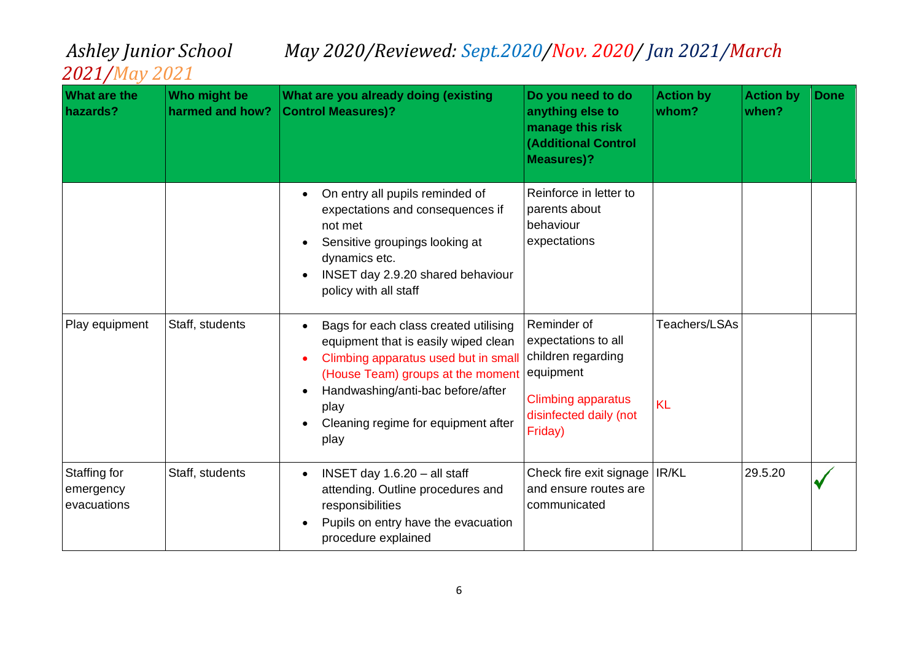| <b>What are the</b><br>hazards?          | Who might be<br>harmed and how? | What are you already doing (existing<br><b>Control Measures)?</b>                                                                                                                                                                                      | Do you need to do<br>anything else to<br>manage this risk<br><b>(Additional Control</b><br><b>Measures)?</b>                     | <b>Action by</b><br>whom?  | <b>Action by</b><br>when? | <b>Done</b> |
|------------------------------------------|---------------------------------|--------------------------------------------------------------------------------------------------------------------------------------------------------------------------------------------------------------------------------------------------------|----------------------------------------------------------------------------------------------------------------------------------|----------------------------|---------------------------|-------------|
|                                          |                                 | On entry all pupils reminded of<br>expectations and consequences if<br>not met<br>Sensitive groupings looking at<br>dynamics etc.<br>INSET day 2.9.20 shared behaviour<br>$\bullet$<br>policy with all staff                                           | Reinforce in letter to<br>parents about<br>behaviour<br>expectations                                                             |                            |                           |             |
| Play equipment                           | Staff, students                 | Bags for each class created utilising<br>equipment that is easily wiped clean<br>Climbing apparatus used but in small<br>(House Team) groups at the moment<br>Handwashing/anti-bac before/after<br>play<br>Cleaning regime for equipment after<br>play | Reminder of<br>expectations to all<br>children regarding<br>equipment<br>Climbing apparatus<br>disinfected daily (not<br>Friday) | Teachers/LSAs<br><b>KL</b> |                           |             |
| Staffing for<br>emergency<br>evacuations | Staff, students                 | INSET day $1.6.20 -$ all staff<br>$\bullet$<br>attending. Outline procedures and<br>responsibilities<br>Pupils on entry have the evacuation<br>procedure explained                                                                                     | Check fire exit signage   IR/KL<br>and ensure routes are<br>communicated                                                         |                            | 29.5.20                   |             |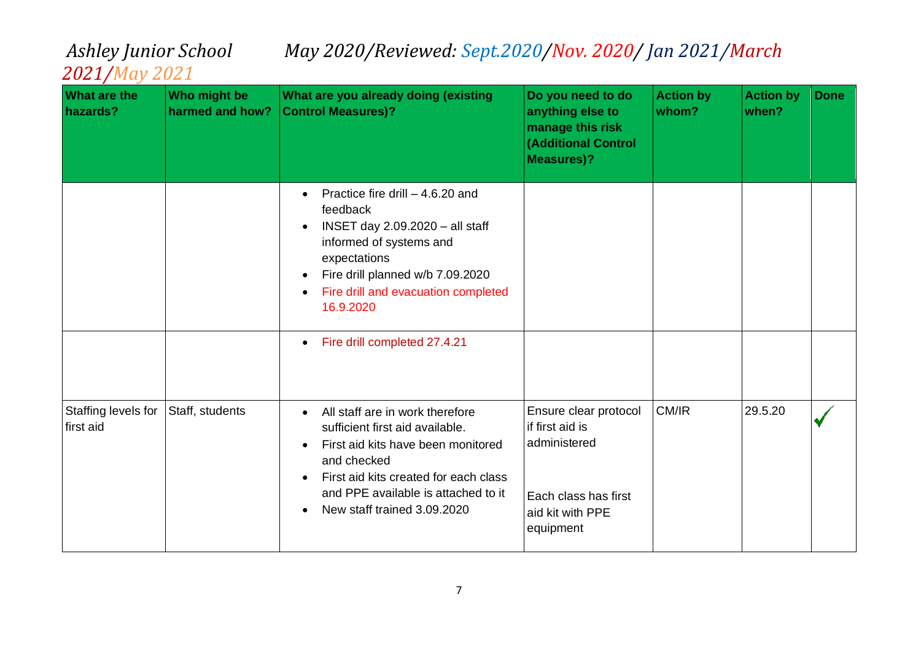| What are the<br>hazards?         | Who might be<br>harmed and how? | What are you already doing (existing<br><b>Control Measures)?</b>                                                                                                                                                                                                | Do you need to do<br>anything else to<br>manage this risk<br><b>(Additional Control</b><br><b>Measures)?</b>      | <b>Action by</b><br>whom? | <b>Action by</b><br>when? | <b>Done</b> |
|----------------------------------|---------------------------------|------------------------------------------------------------------------------------------------------------------------------------------------------------------------------------------------------------------------------------------------------------------|-------------------------------------------------------------------------------------------------------------------|---------------------------|---------------------------|-------------|
|                                  |                                 | Practice fire drill $-4.6.20$ and<br>$\bullet$<br>feedback<br>INSET day 2.09.2020 - all staff<br>$\bullet$<br>informed of systems and<br>expectations<br>Fire drill planned w/b 7.09.2020<br>$\bullet$<br>Fire drill and evacuation completed<br>16.9.2020       |                                                                                                                   |                           |                           |             |
|                                  |                                 | Fire drill completed 27.4.21<br>$\bullet$                                                                                                                                                                                                                        |                                                                                                                   |                           |                           |             |
| Staffing levels for<br>first aid | Staff, students                 | All staff are in work therefore<br>$\bullet$<br>sufficient first aid available.<br>First aid kits have been monitored<br>$\bullet$<br>and checked<br>First aid kits created for each class<br>and PPE available is attached to it<br>New staff trained 3.09.2020 | Ensure clear protocol<br>if first aid is<br>administered<br>Each class has first<br>aid kit with PPE<br>equipment | CM/IR                     | 29.5.20                   |             |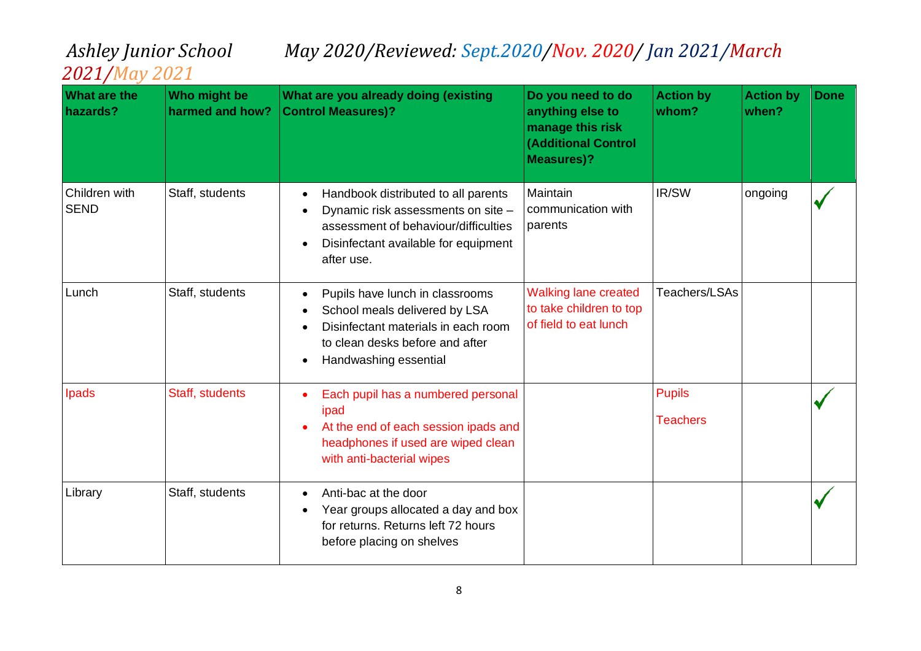| <b>What are the</b><br>hazards? | Who might be<br>harmed and how? | What are you already doing (existing<br><b>Control Measures)?</b>                                                                                                                                 | Do you need to do<br>anything else to<br>manage this risk<br><b>(Additional Control</b><br><b>Measures)?</b> | <b>Action by</b><br>whom?        | <b>Action by</b><br>when? | <b>Done</b> |
|---------------------------------|---------------------------------|---------------------------------------------------------------------------------------------------------------------------------------------------------------------------------------------------|--------------------------------------------------------------------------------------------------------------|----------------------------------|---------------------------|-------------|
| Children with<br><b>SEND</b>    | Staff, students                 | Handbook distributed to all parents<br>$\bullet$<br>Dynamic risk assessments on site -<br>assessment of behaviour/difficulties<br>Disinfectant available for equipment<br>$\bullet$<br>after use. | Maintain<br>communication with<br>parents                                                                    | IR/SW                            | ongoing                   |             |
| Lunch                           | Staff, students                 | Pupils have lunch in classrooms<br>$\bullet$<br>School meals delivered by LSA<br>Disinfectant materials in each room<br>to clean desks before and after<br>Handwashing essential<br>$\bullet$     | <b>Walking lane created</b><br>to take children to top<br>of field to eat lunch                              | <b>Teachers/LSAs</b>             |                           |             |
| Ipads                           | Staff, students                 | Each pupil has a numbered personal<br>ipad<br>At the end of each session ipads and<br>headphones if used are wiped clean<br>with anti-bacterial wipes                                             |                                                                                                              | <b>Pupils</b><br><b>Teachers</b> |                           |             |
| Library                         | Staff, students                 | Anti-bac at the door<br>Year groups allocated a day and box<br>for returns. Returns left 72 hours<br>before placing on shelves                                                                    |                                                                                                              |                                  |                           |             |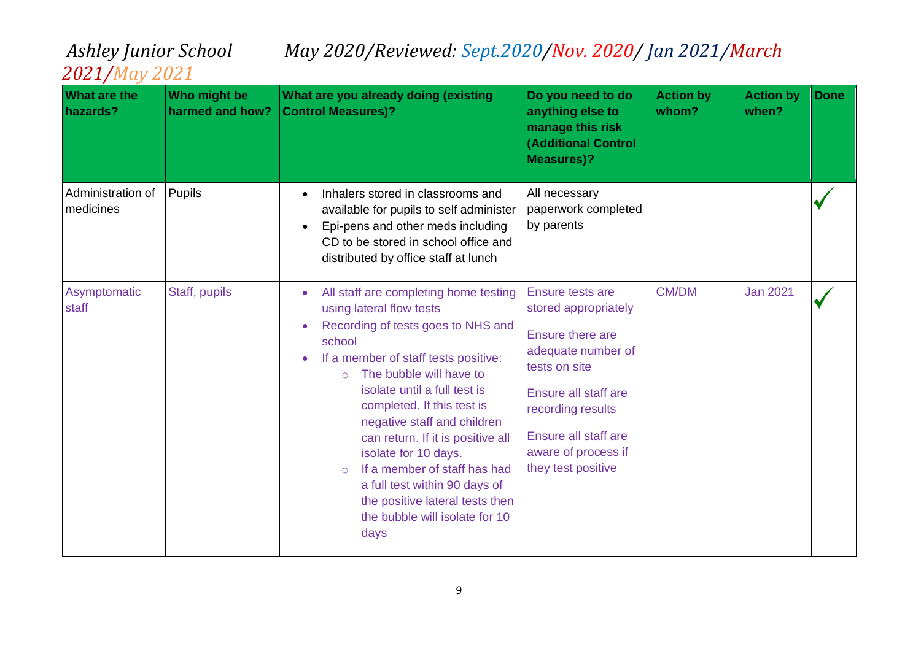| <b>What are the</b><br>hazards? | Who might be<br>harmed and how? | What are you already doing (existing<br><b>Control Measures)?</b>                                                                                                                                                                                                                                                                                                                                                                                                                                                   | Do you need to do<br>anything else to<br>manage this risk<br><b>(Additional Control</b><br><b>Measures)?</b>                                                                                                          | <b>Action by</b><br>whom? | <b>Action by</b><br>when? | <b>Done</b> |
|---------------------------------|---------------------------------|---------------------------------------------------------------------------------------------------------------------------------------------------------------------------------------------------------------------------------------------------------------------------------------------------------------------------------------------------------------------------------------------------------------------------------------------------------------------------------------------------------------------|-----------------------------------------------------------------------------------------------------------------------------------------------------------------------------------------------------------------------|---------------------------|---------------------------|-------------|
| Administration of<br>medicines  | Pupils                          | Inhalers stored in classrooms and<br>available for pupils to self administer<br>Epi-pens and other meds including<br>CD to be stored in school office and<br>distributed by office staff at lunch                                                                                                                                                                                                                                                                                                                   | All necessary<br>paperwork completed<br>by parents                                                                                                                                                                    |                           |                           |             |
| Asymptomatic<br>staff           | Staff, pupils                   | All staff are completing home testing<br>using lateral flow tests<br>Recording of tests goes to NHS and<br>school<br>If a member of staff tests positive:<br>The bubble will have to<br>$\Omega$<br>isolate until a full test is<br>completed. If this test is<br>negative staff and children<br>can return. If it is positive all<br>isolate for 10 days.<br>If a member of staff has had<br>$\circ$<br>a full test within 90 days of<br>the positive lateral tests then<br>the bubble will isolate for 10<br>days | Ensure tests are<br>stored appropriately<br>Ensure there are<br>adequate number of<br>tests on site<br>Ensure all staff are<br>recording results<br>Ensure all staff are<br>aware of process if<br>they test positive | <b>CM/DM</b>              | <b>Jan 2021</b>           |             |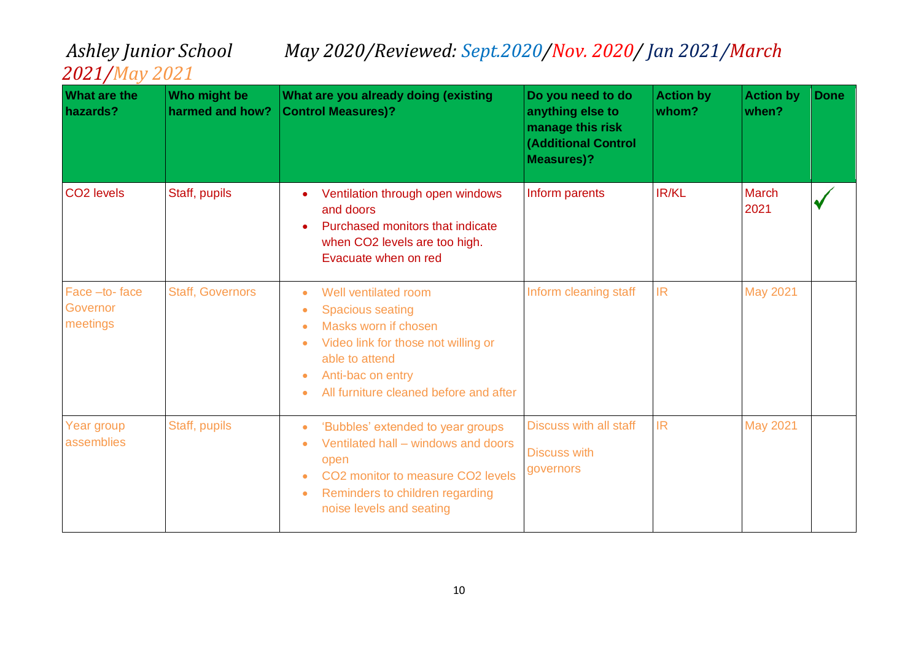| <b>What are the</b><br>hazards?       | Who might be<br>harmed and how? | What are you already doing (existing<br><b>Control Measures)?</b>                                                                                                                                                                      | Do you need to do<br>anything else to<br>manage this risk<br><b>(Additional Control</b><br><b>Measures)?</b> | <b>Action by</b><br>whom? | <b>Action by</b><br>when? | <b>Done</b> |
|---------------------------------------|---------------------------------|----------------------------------------------------------------------------------------------------------------------------------------------------------------------------------------------------------------------------------------|--------------------------------------------------------------------------------------------------------------|---------------------------|---------------------------|-------------|
| CO <sub>2</sub> levels                | Staff, pupils                   | Ventilation through open windows<br>and doors<br>Purchased monitors that indicate<br>when CO2 levels are too high.<br>Evacuate when on red                                                                                             | Inform parents                                                                                               | IR/KL                     | <b>March</b><br>2021      |             |
| Face -to-face<br>Governor<br>meetings | <b>Staff, Governors</b>         | Well ventilated room<br>$\bullet$<br><b>Spacious seating</b><br>Masks worn if chosen<br>Video link for those not willing or<br>able to attend<br>Anti-bac on entry<br>$\bullet$<br>All furniture cleaned before and after              | Inform cleaning staff                                                                                        | <b>IR</b>                 | <b>May 2021</b>           |             |
| Year group<br>assemblies              | Staff, pupils                   | 'Bubbles' extended to year groups<br>$\bullet$<br>Ventilated hall – windows and doors<br>open<br>CO <sub>2</sub> monitor to measure CO <sub>2</sub> levels<br>Reminders to children regarding<br>$\bullet$<br>noise levels and seating | <b>Discuss with all staff</b><br><b>Discuss with</b><br>governors                                            | <b>IR</b>                 | <b>May 2021</b>           |             |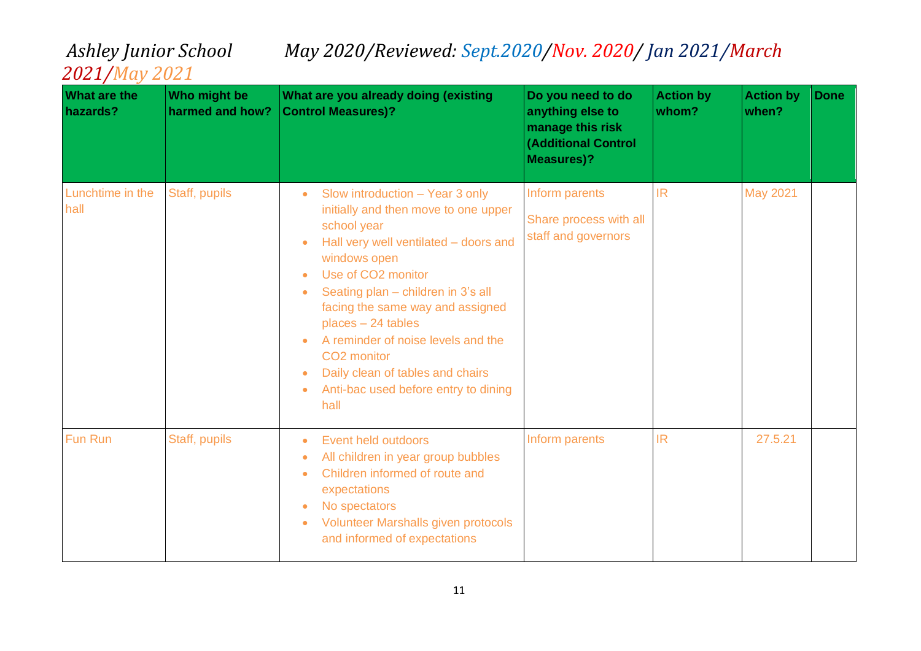| <b>What are the</b><br>hazards? | Who might be<br>harmed and how? | What are you already doing (existing<br><b>Control Measures)?</b>                                                                                                                                                                                                                                                                                                                                                                                   | Do you need to do<br>anything else to<br>manage this risk<br><b>(Additional Control</b><br><b>Measures)?</b> | <b>Action by</b><br>whom? | <b>Action by</b><br>when? | <b>Done</b> |
|---------------------------------|---------------------------------|-----------------------------------------------------------------------------------------------------------------------------------------------------------------------------------------------------------------------------------------------------------------------------------------------------------------------------------------------------------------------------------------------------------------------------------------------------|--------------------------------------------------------------------------------------------------------------|---------------------------|---------------------------|-------------|
| Lunchtime in the<br>hall        | Staff, pupils                   | Slow introduction - Year 3 only<br>$\bullet$<br>initially and then move to one upper<br>school year<br>Hall very well ventilated - doors and<br>windows open<br>Use of CO <sub>2</sub> monitor<br>Seating plan - children in 3's all<br>facing the same way and assigned<br>places - 24 tables<br>A reminder of noise levels and the<br>CO <sub>2</sub> monitor<br>Daily clean of tables and chairs<br>Anti-bac used before entry to dining<br>hall | Inform parents<br>Share process with all<br>staff and governors                                              | <b>IR</b>                 | <b>May 2021</b>           |             |
| Fun Run                         | Staff, pupils                   | Event held outdoors<br>$\bullet$<br>All children in year group bubbles<br>Children informed of route and<br>$\bullet$<br>expectations<br>No spectators<br>Volunteer Marshalls given protocols<br>$\bullet$<br>and informed of expectations                                                                                                                                                                                                          | Inform parents                                                                                               | <b>IR</b>                 | 27.5.21                   |             |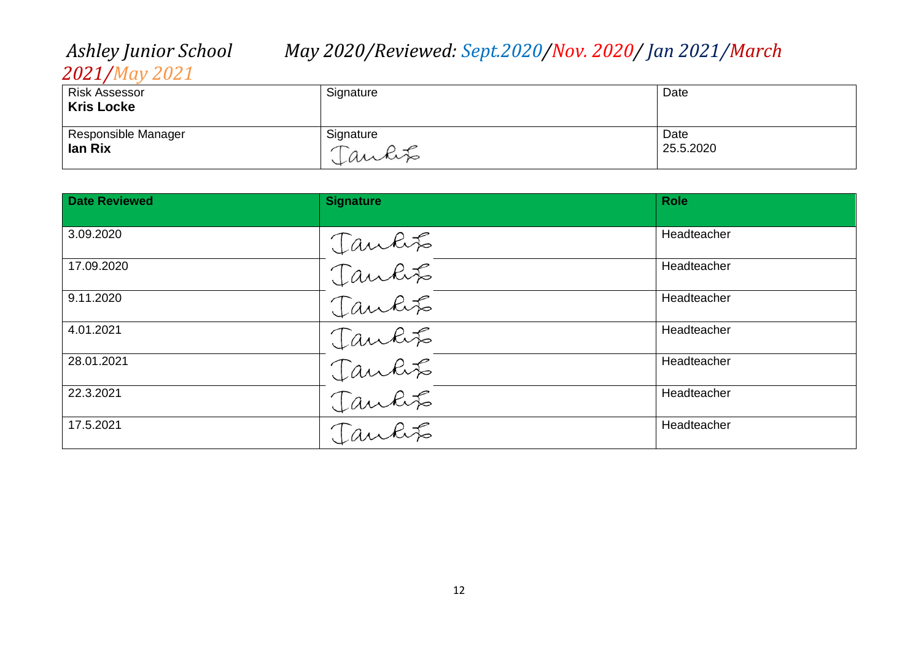## *2021/May 2021*

| <b>Risk Assessor</b><br><b>Kris Locke</b> | Signature | Date      |
|-------------------------------------------|-----------|-----------|
| Responsible Manager                       | Signature | Date      |
| lan Rix                                   | Jankit    | 25.5.2020 |

| <b>Date Reviewed</b> | <b>Signature</b>           | <b>Role</b> |
|----------------------|----------------------------|-------------|
| 3.09.2020            |                            | Headteacher |
| 17.09.2020           | Tankts<br>Tankts<br>Tankts | Headteacher |
| 9.11.2020            |                            | Headteacher |
| 4.01.2021            | Jankit                     | Headteacher |
| 28.01.2021           | Jankits                    | Headteacher |
| 22.3.2021            | Jankts<br>Jankts           | Headteacher |
| 17.5.2021            |                            | Headteacher |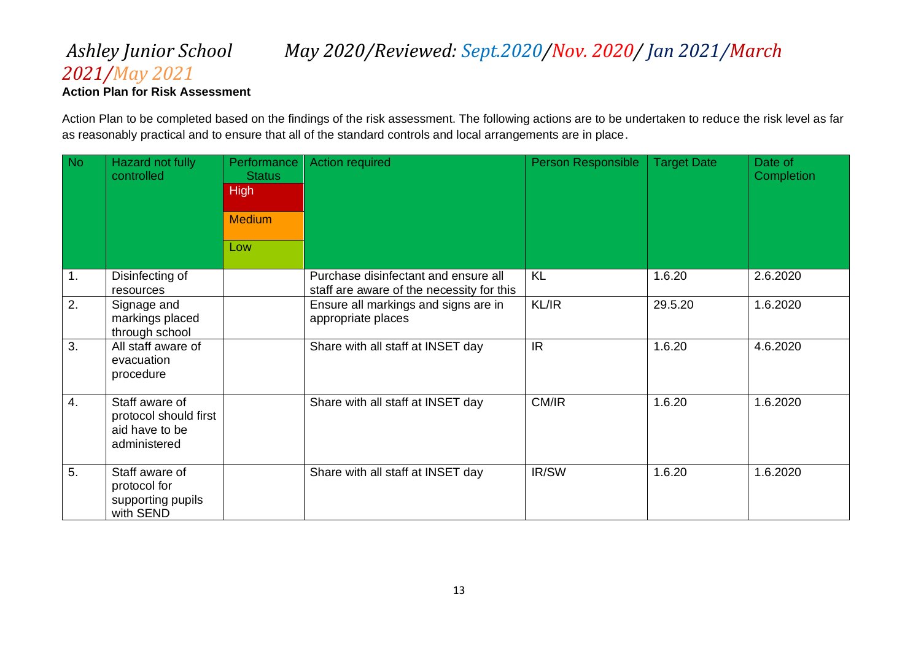### *2021/May 2021* **Action Plan for Risk Assessment**

Action Plan to be completed based on the findings of the risk assessment. The following actions are to be undertaken to reduce the risk level as far as reasonably practical and to ensure that all of the standard controls and local arrangements are in place.

| <b>No</b> | Hazard not fully<br>controlled                                            | Performance<br><b>Status</b><br><b>High</b><br><b>Medium</b><br>Low | <b>Action required</b>                                                            | Person Responsible | <b>Target Date</b> | Date of<br>Completion |
|-----------|---------------------------------------------------------------------------|---------------------------------------------------------------------|-----------------------------------------------------------------------------------|--------------------|--------------------|-----------------------|
| 1.        | Disinfecting of<br>resources                                              |                                                                     | Purchase disinfectant and ensure all<br>staff are aware of the necessity for this | KL                 | 1.6.20             | 2.6.2020              |
| 2.        | Signage and<br>markings placed<br>through school                          |                                                                     | Ensure all markings and signs are in<br>appropriate places                        | KL/IR              | 29.5.20            | 1.6.2020              |
| 3.        | All staff aware of<br>evacuation<br>procedure                             |                                                                     | Share with all staff at INSET day                                                 | IR.                | 1.6.20             | 4.6.2020              |
| 4.        | Staff aware of<br>protocol should first<br>aid have to be<br>administered |                                                                     | Share with all staff at INSET day                                                 | CM/IR              | 1.6.20             | 1.6.2020              |
| 5.        | Staff aware of<br>protocol for<br>supporting pupils<br>with SEND          |                                                                     | Share with all staff at INSET day                                                 | IR/SW              | 1.6.20             | 1.6.2020              |